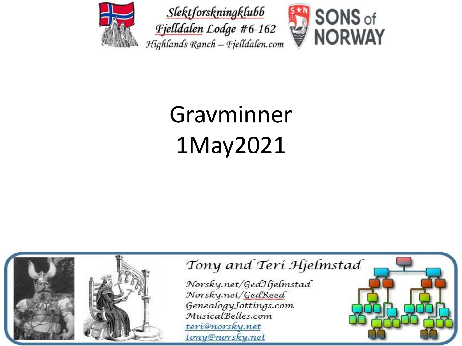





# Gravminner 1May2021

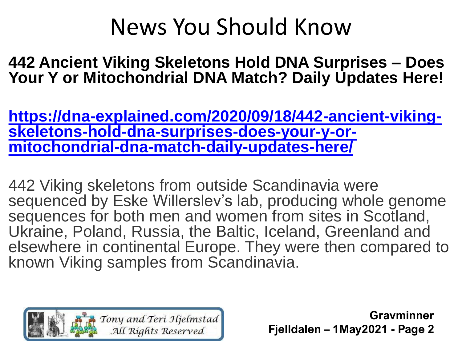#### News You Should Know

**442 Ancient Viking Skeletons Hold DNA Surprises – Does Your Y or Mitochondrial DNA Match? Daily Updates Here!** 

**[https://dna-explained.com/2020/09/18/442-ancient-viking](https://dna-explained.com/2020/09/18/442-ancient-viking-skeletons-hold-dna-surprises-does-your-y-or-mitochondrial-dna-match-daily-updates-here/)skeletons-hold-dna-surprises-does-your-y-ormitochondrial-dna-match-daily-updates-here/**

442 Viking skeletons from outside Scandinavia were sequenced by Eske Willerslev's lab, producing whole genome sequences for both men and women from sites in Scotland, Ukraine, Poland, Russia, the Baltic, Iceland, Greenland and elsewhere in continental Europe. They were then compared to known Viking samples from Scandinavia.

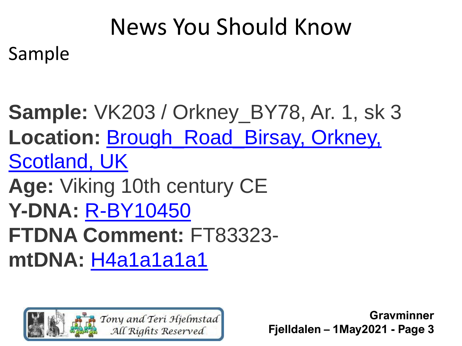## News You Should Know

Sample

**Sample:** VK203 / Orkney\_BY78, Ar. 1, sk 3 **Location:** [Brough\\_Road\\_Birsay, Orkney,](http://www.google.com/maps/place/59.133,-3.319)  Scotland, UK **Age:** Viking 10th century CE **Y-DNA:** [R-BY10450](https://www.familytreedna.com/public/y-dna-haplotree/R;name=R-BY10450) **FTDNA Comment:** FT83323 **mtDNA:** [H4a1a1a1a1](https://www.familytreedna.com/public/mt-dna-haplotree/H;name=H4a1a1a1a1)

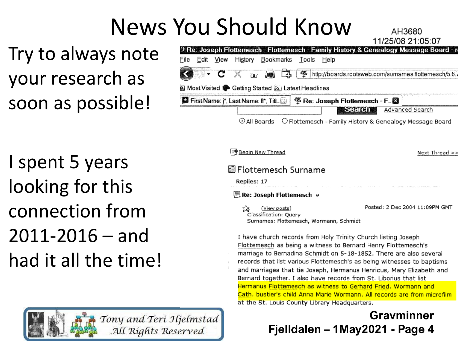## News You Should Know

Try to always note your research as soon as possible!

|      |                                                 |      |  |                                                                                |  |  |               |  | TU.CU.TS 0UICSITT                                                                                |  |
|------|-------------------------------------------------|------|--|--------------------------------------------------------------------------------|--|--|---------------|--|--------------------------------------------------------------------------------------------------|--|
|      |                                                 |      |  |                                                                                |  |  |               |  | <sup>3</sup> Re: Joseph Flottemesch - Flottemesch - Family History & Genealogy Message Board - n |  |
| File | Edit                                            | View |  | History Bookmarks Tools Help                                                   |  |  |               |  |                                                                                                  |  |
|      |                                                 |      |  |                                                                                |  |  |               |  |                                                                                                  |  |
|      | Most Visited Setting Started M Latest Headlines |      |  |                                                                                |  |  |               |  |                                                                                                  |  |
|      |                                                 |      |  | <b>日 First Name: j*, Last Name: f*, TitL   学 Re: Joseph Flottemesch - F. 图</b> |  |  |               |  |                                                                                                  |  |
|      |                                                 |      |  |                                                                                |  |  | <b>Search</b> |  | Advanced Search                                                                                  |  |
|      |                                                 |      |  |                                                                                |  |  |               |  | $\odot$ All Boards $\odot$ Flottemesch - Family History & Genealogy Message Board                |  |

 $11050000000007$ 

I spent 5 years looking for this connection from 2011-2016 – and had it all the time!

> Tony and Teri Hjelmstad All Rights Reserved



marriage to Bernadina Schmidt on 5-18-1852. There are also several records that list various Flottemesch's as being witnesses to baptisms and marriages that tie Joseph, Hermanus Henricus, Mary Elizabeth and Bernard together. I also have records from St. Liborius that list Hermanus Flottemesch as witness to Gerhard Fried. Wormann and Cath, bustier's child Anna Marie Wormann. All records are from microfilm at the St. Louis County Library Headquarters.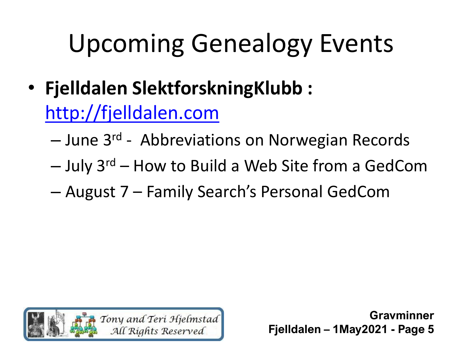- **Fjelldalen SlektforskningKlubb :**  [http://fjelldalen.com](http://fjelldalen.com/)
	- June 3rd Abbreviations on Norwegian Records
	- $-$  July 3<sup>rd</sup> How to Build a Web Site from a GedCom
	- August 7 Family Search's Personal GedCom

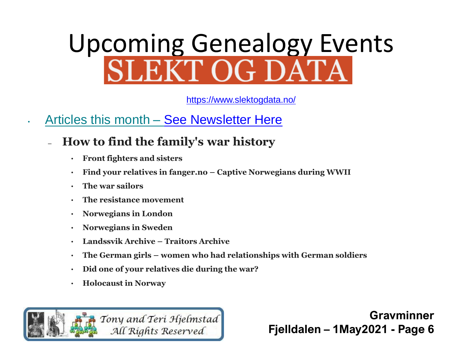# Upcoming Genealogy Events<br>SLEKT OG DATA

<https://www.slektogdata.no/>

- Articles this month [See Newsletter Here](https://mailchi.mp/d3aef9cf6c56/nyhetsbrev-fra-slekt-og-data-303029?e=5ee01348dd)
	- **How to find the family's war history**
		- **Front fighters and sisters**
		- **Find your relatives in fanger.no – Captive Norwegians during WWII**
		- **The war sailors**
		- **The resistance movement**
		- **Norwegians in London**
		- **Norwegians in Sweden**
		- **Landssvik Archive – Traitors Archive**
		- **The German girls – women who had relationships with German soldiers**
		- **Did one of your relatives die during the war?**
		- **Holocaust in Norway**

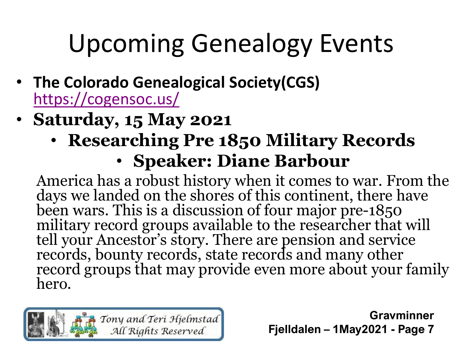- **The Colorado Genealogical Society(CGS)**  <https://cogensoc.us/>
- **Saturday, 15 May 2021**
	- **Researching Pre 1850 Military Records** • **Speaker: Diane Barbour**

America has a robust history when it comes to war. From the days we landed on the shores of this continent, there have been wars. This is a discussion of four major pre-1850 military record groups available to the researcher that will tell your Ancestor's story. There are pension and service records, bounty records, state records and many other record groups that may provide even more about your family hero.

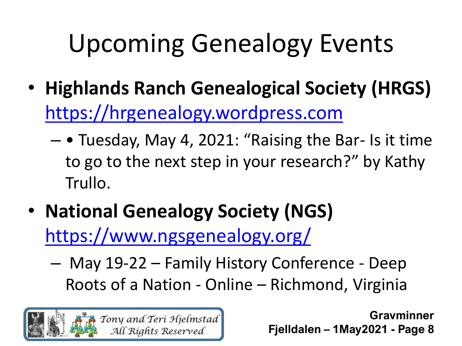- **Highlands Ranch Genealogical Society (HRGS)**  [https://hrgenealogy.wordpress.com](https://hrgenealogy.wordpress.com/)
	- • Tuesday, May 4, 2021: "Raising the Bar- Is it time to go to the next step in your research?" by Kathy Trullo.
- **National Genealogy Society (NGS)**  <https://www.ngsgenealogy.org/>
	- May 19-22 Family History Conference Deep Roots of a Nation - Online – Richmond, Virginia

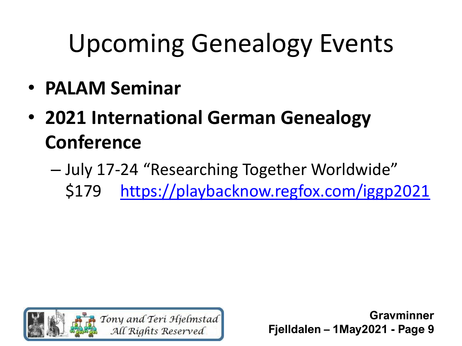- **PALAM Seminar**
- **2021 International German Genealogy Conference**
	- July 17-24 "Researching Together Worldwide" \$179 <https://playbacknow.regfox.com/iggp2021>

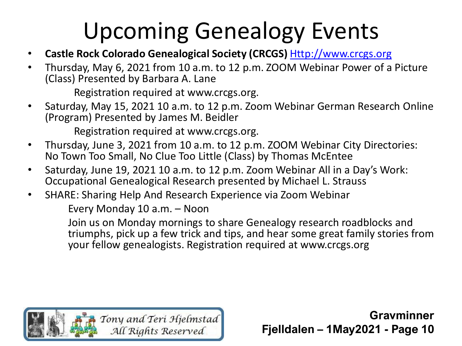- **Castle Rock Colorado Genealogical Society (CRCGS)** [Http://www.crcgs.org](http://www.crcgs.org/)
- Thursday, May 6, 2021 from 10 a.m. to 12 p.m. ZOOM Webinar Power of a Picture (Class) Presented by Barbara A. Lane

Registration required at www.crcgs.org.

• Saturday, May 15, 2021 10 a.m. to 12 p.m. Zoom Webinar German Research Online (Program) Presented by James M. Beidler

Registration required at www.crcgs.org.

- Thursday, June 3, 2021 from 10 a.m. to 12 p.m. ZOOM Webinar City Directories: No Town Too Small, No Clue Too Little (Class) by Thomas McEntee
- Saturday, June 19, 2021 10 a.m. to 12 p.m. Zoom Webinar All in a Day's Work: Occupational Genealogical Research presented by Michael L. Strauss
- SHARE: Sharing Help And Research Experience via Zoom Webinar

Every Monday 10 a.m. – Noon

Join us on Monday mornings to share Genealogy research roadblocks and triumphs, pick up a few trick and tips, and hear some great family stories from your fellow genealogists. Registration required at www.crcgs.org

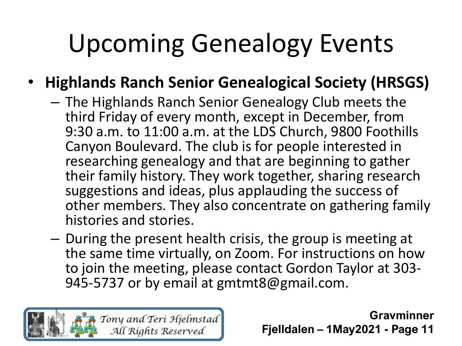#### • **Highlands Ranch Senior Genealogical Society (HRSGS)**

- The Highlands Ranch Senior Genealogy Club meets the third Friday of every month, except in December, from 9:30 a.m. to 11:00 a.m. at the LDS Church, 9800 Foothills Canyon Boulevard. The club is for people interested in researching genealogy and that are beginning to gather their family history. They work together, sharing research suggestions and ideas, plus applauding the success of other members. They also concentrate on gathering family histories and stories.
- During the present health crisis, the group is meeting at the same time virtually, on Zoom. For instructions on how to join the meeting, please contact Gordon Taylor at 303- 945-5737 or by email at gmtmt8@gmail.com.

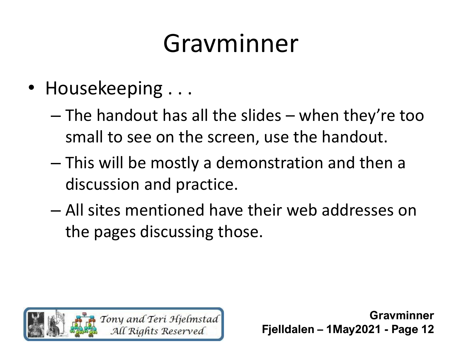- Housekeeping ...
	- The handout has all the slides when they're too small to see on the screen, use the handout.
	- This will be mostly a demonstration and then a discussion and practice.
	- All sites mentioned have their web addresses on the pages discussing those.

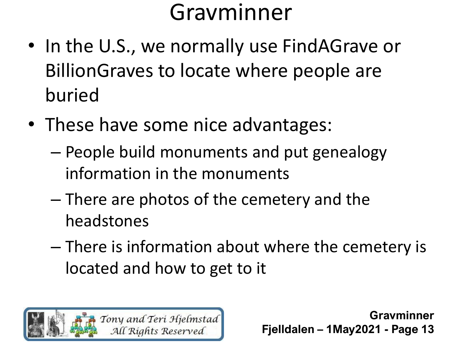- In the U.S., we normally use FindAGrave or BillionGraves to locate where people are buried
- These have some nice advantages:
	- People build monuments and put genealogy information in the monuments
	- There are photos of the cemetery and the headstones
	- There is information about where the cemetery is located and how to get to it

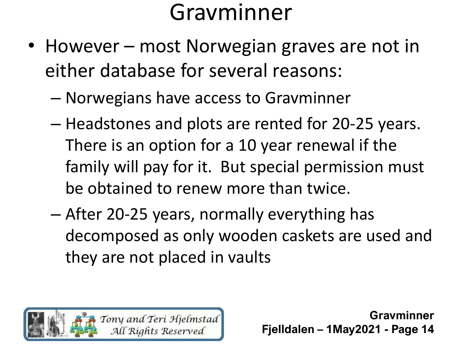- However most Norwegian graves are not in either database for several reasons:
	- Norwegians have access to Gravminner
	- Headstones and plots are rented for 20-25 years. There is an option for a 10 year renewal if the family will pay for it. But special permission must be obtained to renew more than twice.
	- After 20-25 years, normally everything has decomposed as only wooden caskets are used and they are not placed in vaults

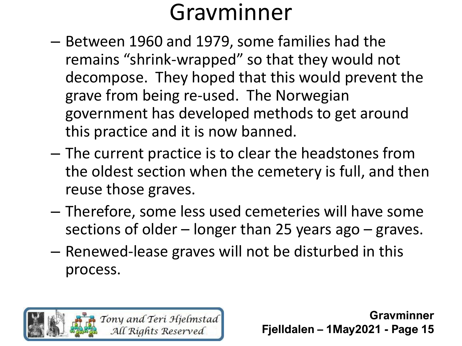- Between 1960 and 1979, some families had the remains "shrink-wrapped" so that they would not decompose. They hoped that this would prevent the grave from being re-used. The Norwegian government has developed methods to get around this practice and it is now banned.
- The current practice is to clear the headstones from the oldest section when the cemetery is full, and then reuse those graves.
- Therefore, some less used cemeteries will have some sections of older – longer than 25 years ago – graves.
- Renewed-lease graves will not be disturbed in this process.

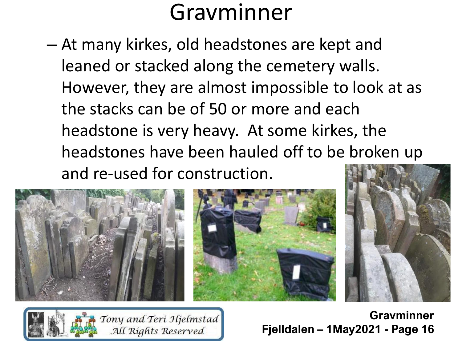– At many kirkes, old headstones are kept and leaned or stacked along the cemetery walls. However, they are almost impossible to look at as the stacks can be of 50 or more and each headstone is very heavy. At some kirkes, the headstones have been hauled off to be broken up and re-used for construction.



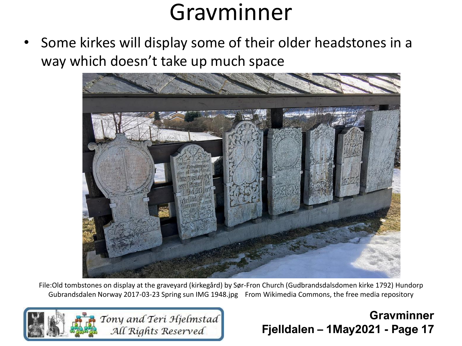• Some kirkes will display some of their older headstones in a way which doesn't take up much space



File:Old tombstones on display at the graveyard (kirkegård) by Sør-Fron Church (Gudbrandsdalsdomen kirke 1792) Hundorp Gubrandsdalen Norway 2017-03-23 Spring sun IMG 1948.jpg From Wikimedia Commons, the free media repository

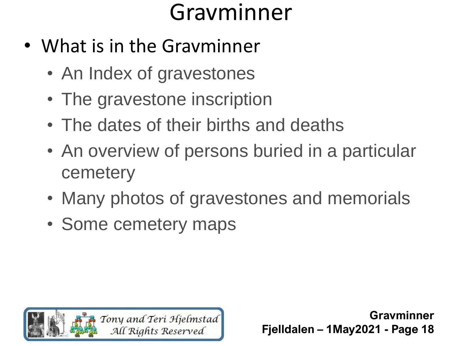- What is in the Gravminner
	- An Index of gravestones
	- The gravestone inscription
	- The dates of their births and deaths
	- An overview of persons buried in a particular cemetery
	- Many photos of gravestones and memorials
	- Some cemetery maps

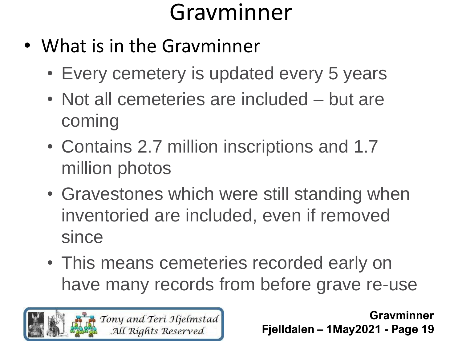- What is in the Gravminner
	- Every cemetery is updated every 5 years
	- Not all cemeteries are included but are coming
	- Contains 2.7 million inscriptions and 1.7 million photos
	- Gravestones which were still standing when inventoried are included, even if removed since
	- This means cemeteries recorded early on have many records from before grave re-use

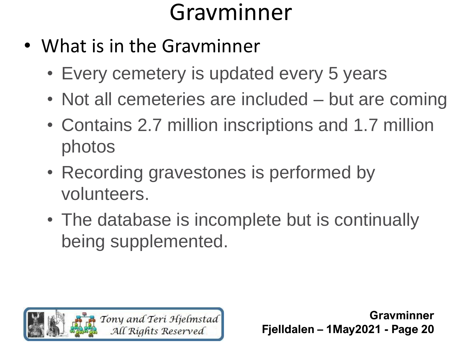- What is in the Gravminner
	- Every cemetery is updated every 5 years
	- Not all cemeteries are included but are coming
	- Contains 2.7 million inscriptions and 1.7 million photos
	- Recording gravestones is performed by volunteers.
	- The database is incomplete but is continually being supplemented.

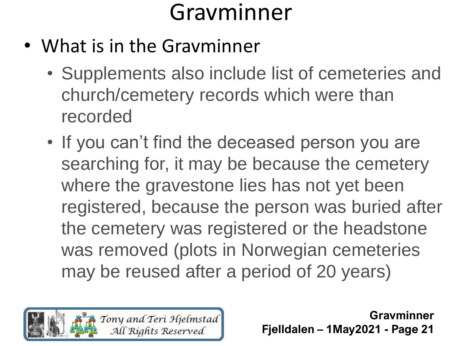- What is in the Gravminner
	- Supplements also include list of cemeteries and church/cemetery records which were than recorded
	- If you can't find the deceased person you are searching for, it may be because the cemetery where the gravestone lies has not yet been registered, because the person was buried after the cemetery was registered or the headstone was removed (plots in Norwegian cemeteries may be reused after a period of 20 years)

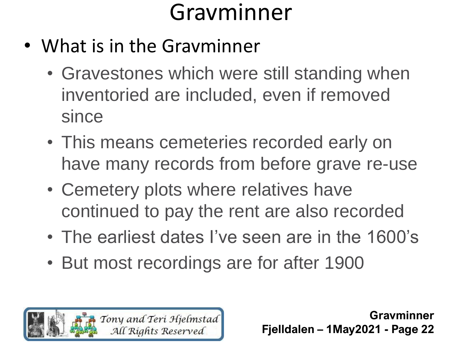- What is in the Gravminner
	- Gravestones which were still standing when inventoried are included, even if removed since
	- This means cemeteries recorded early on have many records from before grave re-use
	- Cemetery plots where relatives have continued to pay the rent are also recorded
	- The earliest dates I've seen are in the 1600's
	- But most recordings are for after 1900

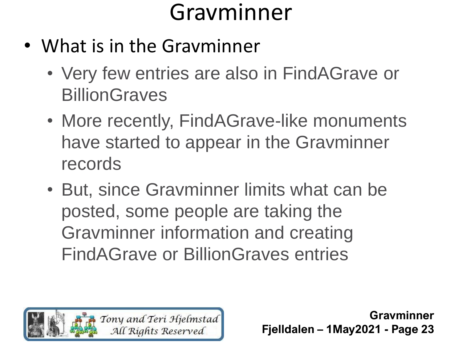- What is in the Gravminner
	- Very few entries are also in FindAGrave or **BillionGraves**
	- More recently, FindAGrave-like monuments have started to appear in the Gravminner records
	- But, since Gravminner limits what can be posted, some people are taking the Gravminner information and creating FindAGrave or BillionGraves entries

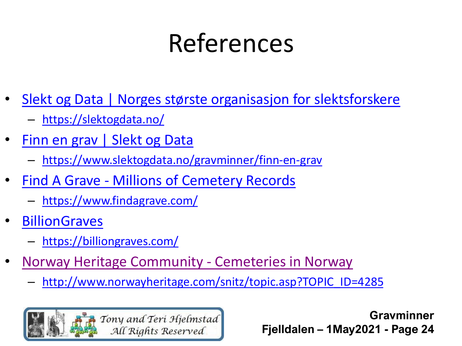# References

- Slekt og Data | Norges største organisasjon [for slektsforskere](https://slektogdata.no/)
	- <https://slektogdata.no/>
- [Finn en](https://www.slektogdata.no/gravminner/finn-en-grav) grav | Slekt og Data
	- [https://www.slektogdata.no/gravminner/finn-en-grav](https://www.findagrave.com/)
- Find A Grave [Millions of Cemetery Records](https://www.findagrave.com/)
	- <https://www.findagrave.com/>
- **[BillionGraves](https://billiongraves.com/)** 
	- <https://billiongraves.com/>
- [Norway Heritage Community -](http://www.norwayheritage.com/snitz/topic.asp?TOPIC_ID=4285) Cemeteries in Norway
	- [http://www.norwayheritage.com/snitz/topic.asp?TOPIC\\_ID=4285](http://www.norwayheritage.com/snitz/topic.asp?TOPIC_ID=4285)